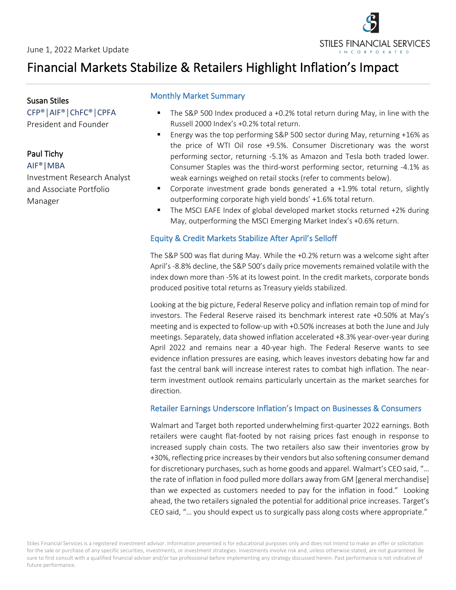

# Financial Markets Stabilize & Retailers Highlight Inflation's Impact

Susan Stiles CFP®│AIF®│ChFC®│CPFA President and Founder

## Paul Tichy

AIF®|MBA Investment Research Analyst and Associate Portfolio Manager

## Monthly Market Summary

- The S&P 500 Index produced a +0.2% total return during May, in line with the Russell 2000 Index's +0.2% total return.
- § Energy was the top performing S&P 500 sector during May, returning +16% as the price of WTI Oil rose +9.5%. Consumer Discretionary was the worst performing sector, returning -5.1% as Amazon and Tesla both traded lower. Consumer Staples was the third-worst performing sector, returning -4.1% as weak earnings weighed on retail stocks (refer to comments below).
- § Corporate investment grade bonds generated a +1.9% total return, slightly outperforming corporate high yield bonds' +1.6% total return.
- § The MSCI EAFE Index of global developed market stocks returned +2% during May, outperforming the MSCI Emerging Market Index's +0.6% return.

### Equity & Credit Markets Stabilize After April's Selloff

The S&P 500 was flat during May. While the +0.2% return was a welcome sight after April's -8.8% decline, the S&P 500's daily price movements remained volatile with the index down more than -5% at its lowest point. In the credit markets, corporate bonds produced positive total returns as Treasury yields stabilized.

Looking at the big picture, Federal Reserve policy and inflation remain top of mind for investors. The Federal Reserve raised its benchmark interest rate +0.50% at May's meeting and is expected to follow-up with +0.50% increases at both the June and July meetings. Separately, data showed inflation accelerated +8.3% year-over-year during April 2022 and remains near a 40-year high. The Federal Reserve wants to see evidence inflation pressures are easing, which leaves investors debating how far and fast the central bank will increase interest rates to combat high inflation. The nearterm investment outlook remains particularly uncertain as the market searches for direction.

### Retailer Earnings Underscore Inflation's Impact on Businesses & Consumers

Walmart and Target both reported underwhelming first-quarter 2022 earnings. Both retailers were caught flat-footed by not raising prices fast enough in response to increased supply chain costs. The two retailers also saw their inventories grow by +30%, reflecting price increases by their vendors but also softening consumer demand for discretionary purchases, such as home goods and apparel. Walmart's CEO said, "… the rate of inflation in food pulled more dollars away from GM [general merchandise] than we expected as customers needed to pay for the inflation in food." Looking ahead, the two retailers signaled the potential for additional price increases. Target's CEO said, "… you should expect us to surgically pass along costs where appropriate."

Stiles Financial Services is a registered investment advisor. Information presented is for educational purposes only and does not intend to make an offer or solicitation for the sale or purchase of any specific securities, investments, or investment strategies. Investments involve risk and, unless otherwise stated, are not guaranteed. Be sure to first consult with a qualified financial adviser and/or tax professional before implementing any strategy discussed herein. Past performance is not indicative of future performance.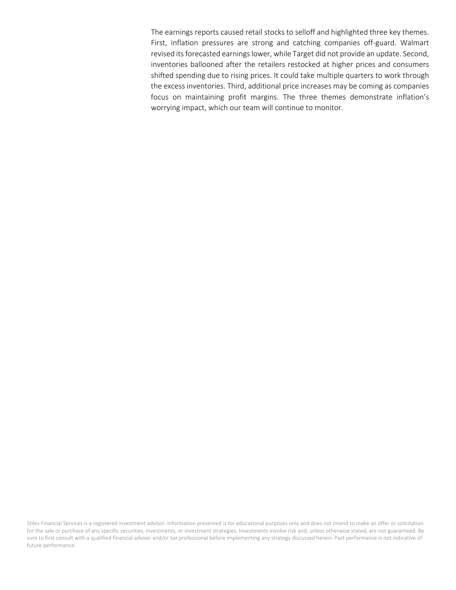The earnings reports caused retail stocks to selloff and highlighted three key themes. First, inflation pressures are strong and catching companies off-guard. Walmart revised its forecasted earnings lower, while Target did not provide an update. Second, inventories ballooned after the retailers restocked at higher prices and consumers shifted spending due to rising prices. It could take multiple quarters to work through the excess inventories. Third, additional price increases may be coming as companies focus on maintaining profit margins. The three themes demonstrate inflation's worrying impact, which our team will continue to monitor.

Stiles Financial Services is a registered investment advisor. Information presented is for educational purposes only and does not intend to make an offer or solicitation for the sale or purchase of any specific securities, investments, or investment strategies. Investments involve risk and, unless otherwise stated, are not guaranteed. Be sure to first consult with a qualified financial adviser and/or tax professional before implementing any strategy discussed herein. Past performance is not indicative of future performance.